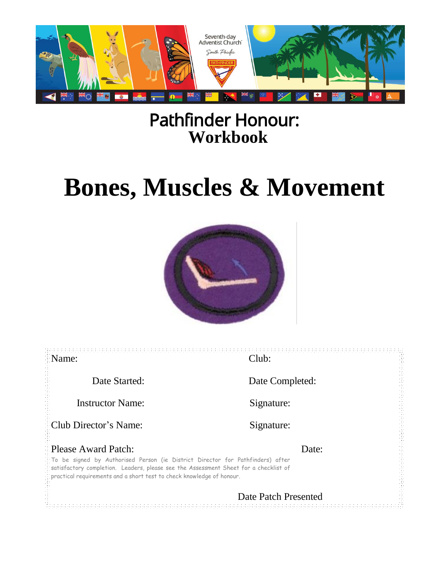

# Pathfinder Honour: **Workbook**

# **Bones, Muscles & Movement**



せんしょう かいかん かいしょう かいしょう かいしょう かんしょう かいしょう かいしょう かいしょう かいしょう かいしょう かいしょう かいしょう かいしょう かいしょう かいしょう かいしょう かいしょう かいしょう かいしゅう かいしゅう かいしゅう かいしゅう しゅうしゅう しゅうしゅう Name: Club: Date Started: Date Completed: Instructor Name: Signature: Club Director's Name: Signature: Please Award Patch: Date: To be signed by Authorised Person (ie District Director for Pathfinders) after satisfactory completion. Leaders, please see the Assessment Sheet for a checklist of practical requirements and a short test to check knowledge of honour. Date Patch Presented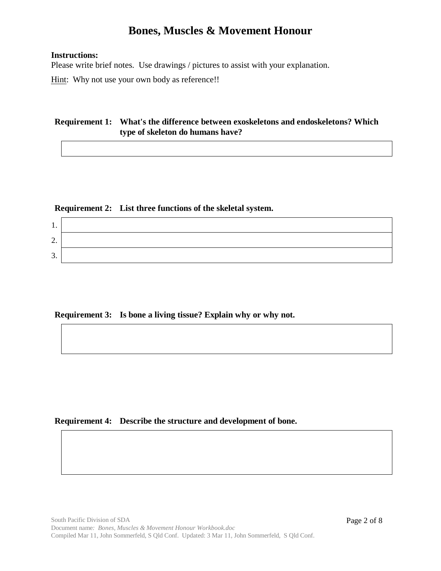#### **Instructions:**

Please write brief notes. Use drawings / pictures to assist with your explanation.

Hint: Why not use your own body as reference!!

#### **Requirement 1: What's the difference between exoskeletons and endoskeletons? Which type of skeleton do humans have?**

#### **Requirement 2: List three functions of the skeletal system.**

| . .     |  |
|---------|--|
| ◠<br>∠. |  |
| ⌒<br>J. |  |

#### **Requirement 3: Is bone a living tissue? Explain why or why not.**

#### **Requirement 4: Describe the structure and development of bone.**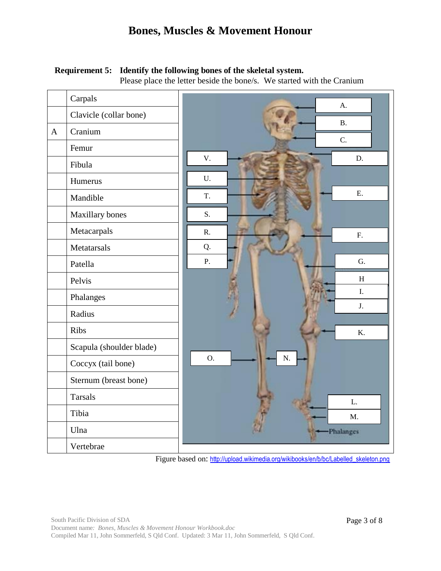#### **Requirement 5: Identify the following bones of the skeletal system.**

Please place the letter beside the bone/s. We started with the Cranium

|              | Carpals                  | A.               |
|--------------|--------------------------|------------------|
|              | Clavicle (collar bone)   | <b>B.</b>        |
| $\mathbf{A}$ | Cranium                  |                  |
|              | Femur                    | C.               |
|              | Fibula                   | V.<br>D.         |
|              | Humerus                  | U.               |
|              | Mandible                 | E.<br>T.         |
|              | Maxillary bones          | S.               |
|              | Metacarpals              | R.<br>${\bf F}.$ |
|              | Metatarsals              | Q.               |
|              | Patella                  | P.<br>G.         |
|              | Pelvis                   | $\, {\rm H}$     |
|              | Phalanges                | I.               |
|              | Radius                   | J.               |
|              | Ribs                     | K.               |
|              | Scapula (shoulder blade) |                  |
|              | Coccyx (tail bone)       | O.<br>${\bf N}.$ |
|              | Sternum (breast bone)    |                  |
|              | <b>Tarsals</b>           | L.               |
|              | Tibia                    | M <sub>1</sub>   |
|              | Ulna                     | -Phalanges       |
|              | Vertebrae                |                  |

Figure based on: [http://upload.wikimedia.org/wikibooks/en/b/bc/Labelled\\_skeleton.png](http://upload.wikimedia.org/wikibooks/en/b/bc/Labelled_skeleton.png)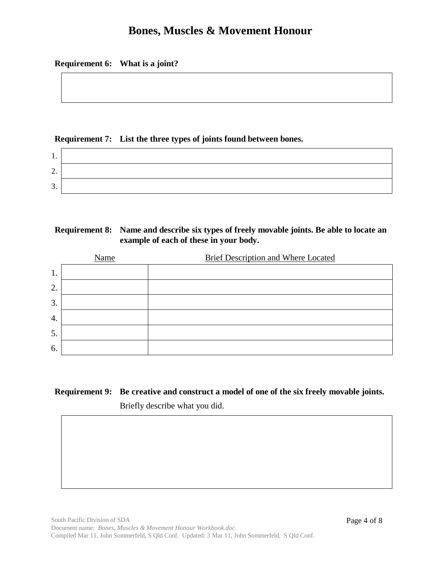#### **Requirement 6: What is a joint?**

#### **Requirement 7: List the three types of joints found between bones.**

| . .             |  |
|-----------------|--|
| ◠<br><u>L</u> . |  |
| ╭<br>J.         |  |

#### **Requirement 8: Name and describe six types of freely movable joints. Be able to locate an example of each of these in your body.**

|    | Name | <b>Brief Description and Where Located</b> |
|----|------|--------------------------------------------|
| 1. |      |                                            |
| 2. |      |                                            |
| 3. |      |                                            |
| 4. |      |                                            |
| 5. |      |                                            |
| 6. |      |                                            |

# **Requirement 9: Be creative and construct a model of one of the six freely movable joints.**

Briefly describe what you did.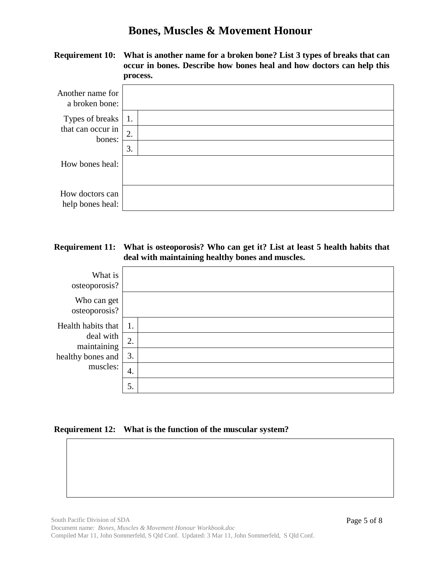**Requirement 10: What is another name for a broken bone? List 3 types of breaks that can occur in bones. Describe how bones heal and how doctors can help this process.**

| Another name for<br>a broken bone:  |    |  |
|-------------------------------------|----|--|
| Types of breaks                     | 1. |  |
| that can occur in<br>bones:         | 2. |  |
|                                     | 3. |  |
| How bones heal:                     |    |  |
| How doctors can<br>help bones heal: |    |  |

#### **Requirement 11: What is osteoporosis? Who can get it? List at least 5 health habits that deal with maintaining healthy bones and muscles.**

| What is<br>osteoporosis?     |    |  |
|------------------------------|----|--|
| Who can get<br>osteoporosis? |    |  |
| Health habits that           | 1. |  |
| deal with<br>maintaining     | 2. |  |
| healthy bones and            | 3. |  |
| muscles:                     | 4. |  |
|                              | 5. |  |

#### **Requirement 12: What is the function of the muscular system?**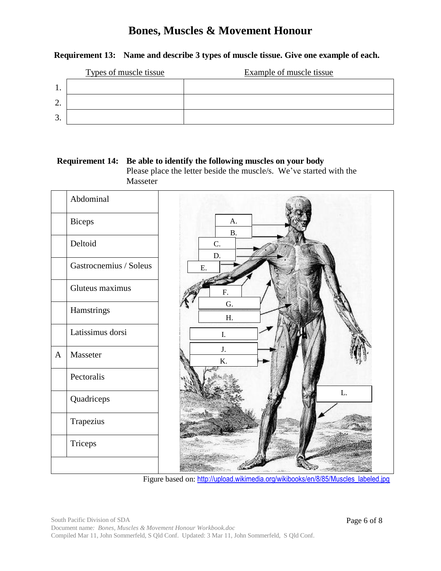#### **Requirement 13: Name and describe 3 types of muscle tissue. Give one example of each.**

|                | Types of muscle tissue | <b>Example of muscle tissue</b> |
|----------------|------------------------|---------------------------------|
|                |                        |                                 |
| $\gamma$<br>٠. |                        |                                 |
| 3.             |                        |                                 |

#### **Requirement 14: Be able to identify the following muscles on your body**  Please place the letter beside the muscle/s. We've started with the Masseter



Figure based on: [http://upload.wikimedia.org/wikibooks/en/8/85/Muscles\\_labeled.jpg](http://upload.wikimedia.org/wikibooks/en/8/85/Muscles_labeled.jpg)